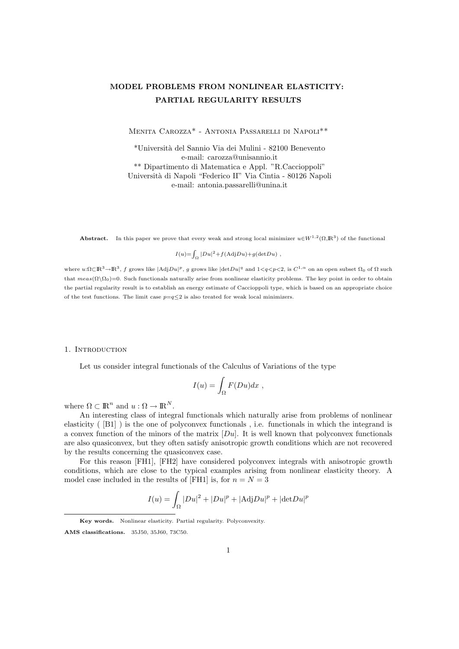# MODEL PROBLEMS FROM NONLINEAR ELASTICITY: PARTIAL REGULARITY RESULTS

Menita Carozza\* - Antonia Passarelli di Napoli\*\*

\*Universit`a del Sannio Via dei Mulini - 82100 Benevento e-mail: carozza@unisannio.it \*\* Dipartimento di Matematica e Appl. "R.Caccioppoli" Universit`a di Napoli "Federico II" Via Cintia - 80126 Napoli e-mail: antonia.passarelli@unina.it

**Abstract.** In this paper we prove that every weak and strong local minimizer  $u \in W^{1,2}(\Omega,\mathbb{R}^3)$  of the functional

 $I(u) = \int_{\Omega} |Du|^2 + f(\text{Adj}Du) + g(\det Du)$ ,

where  $u:\Omega \subset \mathbb{R}^3 \to \mathbb{R}^3$ , f grows like  $|\text{Ad}jDu|^p$ , g grows like  $|\text{det}Du|^q$  and  $1 < q < p < 2$ , is  $C^{1,\alpha}$  on an open subset  $\Omega_0$  of  $\Omega$  such that  $meas(\Omega\setminus\Omega_0)=0$ . Such functionals naturally arise from nonlinear elasticity problems. The key point in order to obtain the partial regularity result is to establish an energy estimate of Caccioppoli type, which is based on an appropriate choice of the test functions. The limit case  $p=q<2$  is also treated for weak local minimizers.

#### 1. INTRODUCTION

Let us consider integral functionals of the Calculus of Variations of the type

$$
I(u) = \int_{\Omega} F(Du) dx ,
$$

where  $\Omega \subset \mathbb{R}^n$  and  $u : \Omega \to \mathbb{R}^N$ .

An interesting class of integral functionals which naturally arise from problems of nonlinear elasticity ( [B1] ) is the one of polyconvex functionals , i.e. functionals in which the integrand is a convex function of the minors of the matrix  $[Du]$ . It is well known that polyconvex functionals are also quasiconvex, but they often satisfy anisotropic growth conditions which are not recovered by the results concerning the quasiconvex case.

For this reason [FH1], [FH2] have considered polyconvex integrals with anisotropic growth conditions, which are close to the typical examples arising from nonlinear elasticity theory. A model case included in the results of [FH1] is, for  $n = N = 3$ 

$$
I(u) = \int_{\Omega} |Du|^2 + |Du|^p + |\mathrm{Adj}Du|^p + |\mathrm{det}Du|^p
$$

Key words. Nonlinear elasticity. Partial regularity. Polyconvexity. AMS classifications. 35J50, 35J60, 73C50.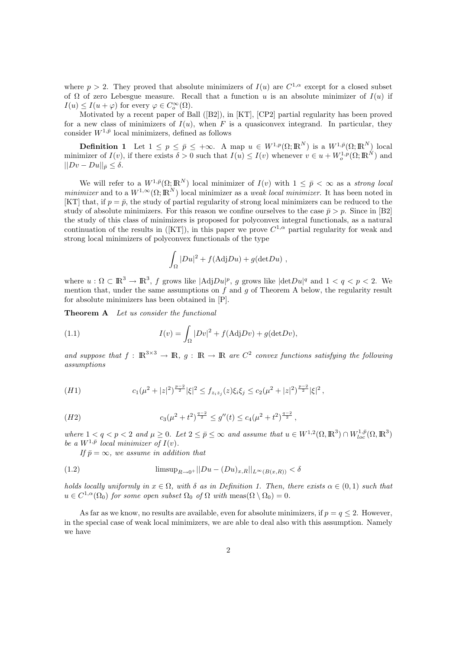where  $p > 2$ . They proved that absolute minimizers of  $I(u)$  are  $C^{1,\alpha}$  except for a closed subset of  $\Omega$  of zero Lebesgue measure. Recall that a function u is an absolute minimizer of  $I(u)$  if  $I(u) \leq I(u + \varphi)$  for every  $\varphi \in C_o^{\infty}(\Omega)$ .

Motivated by a recent paper of Ball ([B2]), in [KT], [CP2] partial regularity has been proved for a new class of minimizers of  $I(u)$ , when F is a quasiconvex integrand. In particular, they consider  $W^{1,\bar{p}}$  local minimizers, defined as follows

**Definition 1** Let  $1 \leq p \leq \bar{p} \leq +\infty$ . A map  $u \in W^{1,p}(\Omega; \mathbb{R}^N)$  is a  $W^{1,\bar{p}}(\Omega; \mathbb{R}^N)$  local minimizer of  $I(v)$ , if there exists  $\delta > 0$  such that  $I(u) \leq I(v)$  whenever  $v \in u + W_0^{1,p}(\Omega; \mathbb{R}^N)$  and  $||Dv - Du||_{\bar{p}} < \delta.$ 

We will refer to a  $W^{1,\bar{p}}(\Omega;\mathbb{R}^N)$  local minimizer of  $I(v)$  with  $1 \leq \bar{p} < \infty$  as a strong local minimizer and to a  $W^{1,\infty}(\Omega;\mathbb{R}^N)$  local minimizer as a weak local minimizer. It has been noted in [KT] that, if  $p = \bar{p}$ , the study of partial regularity of strong local minimizers can be reduced to the study of absolute minimizers. For this reason we confine ourselves to the case  $\bar{p} > p$ . Since in [B2] the study of this class of minimizers is proposed for polyconvex integral functionals, as a natural continuation of the results in ([KT]), in this paper we prove  $C^{1,\alpha}$  partial regularity for weak and strong local minimizers of polyconvex functionals of the type

$$
\int_{\Omega} |Du|^2 + f(\text{Adj}Du) + g(\text{det}Du) ,
$$

where  $u : \Omega \subset \mathbb{R}^3 \to \mathbb{R}^3$ , f grows like  $|\text{Adj}Du|^p$ , g grows like  $|\text{det}Du|^q$  and  $1 < q < p < 2$ . We mention that, under the same assumptions on  $f$  and  $g$  of Theorem A below, the regularity result for absolute minimizers has been obtained in [P].

Theorem A Let us consider the functional

(1.1) 
$$
I(v) = \int_{\Omega} |Dv|^2 + f(\text{Adj}Dv) + g(\text{det}Dv),
$$

and suppose that  $f : \mathbb{R}^{3 \times 3} \to \mathbb{R}$ ,  $g : \mathbb{R} \to \mathbb{R}$  are  $C^2$  convex functions satisfying the following assumptions

(H1) 
$$
c_1(\mu^2+|z|^2)^{\frac{p-2}{2}}|\xi|^2 \le f_{z_iz_j}(z)\xi_i\xi_j \le c_2(\mu^2+|z|^2)^{\frac{p-2}{2}}|\xi|^2,
$$

$$
(H2) \t\t c_3(\mu^2 + t^2)^{\frac{q-2}{2}} \le g''(t) \le c_4(\mu^2 + t^2)^{\frac{q-2}{2}},
$$

where  $1 < q < p < 2$  and  $\mu \geq 0$ . Let  $2 \leq \bar{p} \leq \infty$  and assume that  $u \in W^{1,2}(\Omega,\mathbb{R}^3) \cap W^{1,\bar{p}}_{loc}(\Omega,\mathbb{R}^3)$ be a  $W^{1,\bar{p}}$  local minimizer of  $I(v)$ .

If  $\bar{p} = \infty$ , we assume in addition that

(1.2) 
$$
\limsup_{R \to 0^+} ||Du - (Du)_{x,R}||_{L^{\infty}(B(x,R))} < \delta
$$

holds locally uniformly in  $x \in \Omega$ , with  $\delta$  as in Definition 1. Then, there exists  $\alpha \in (0,1)$  such that  $u \in C^{1,\alpha}(\Omega_0)$  for some open subset  $\Omega_0$  of  $\Omega$  with  $\text{meas}(\Omega \setminus \Omega_0) = 0$ .

As far as we know, no results are available, even for absolute minimizers, if  $p = q \leq 2$ . However, in the special case of weak local minimizers, we are able to deal also with this assumption. Namely we have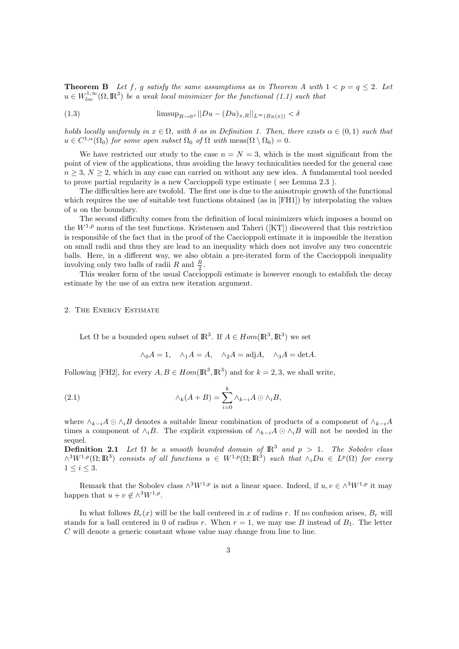**Theorem B** Let f, g satisfy the same assumptions as in Theorem A with  $1 < p = q \leq 2$ . Let  $u \in W^{1,\infty}_{loc}(\Omega,\mathbb{R}^3)$  be a weak local minimizer for the functional (1.1) such that

(1.3) 
$$
\limsup_{R \to 0^+} ||Du - (Du)_{x,R}||_{L^{\infty}(B_R(x))} < \delta
$$

holds locally uniformly in  $x \in \Omega$ , with  $\delta$  as in Definition 1. Then, there exists  $\alpha \in (0,1)$  such that  $u \in C^{1,\alpha}(\Omega_0)$  for some open subset  $\Omega_0$  of  $\Omega$  with  $\text{meas}(\Omega \setminus \Omega_0) = 0$ .

We have restricted our study to the case  $n = N = 3$ , which is the most significant from the point of view of the applications, thus avoiding the heavy technicalities needed for the general case  $n \geq 3$ ,  $N \geq 2$ , which in any case can carried on without any new idea. A fundamental tool needed to prove partial regularity is a new Caccioppoli type estimate ( see Lemma 2.3 ).

The difficulties here are twofold. The first one is due to the anisotropic growth of the functional which requires the use of suitable test functions obtained (as in [FH1]) by interpolating the values of u on the boundary.

The second difficulty comes from the definition of local minimizers which imposes a bound on the  $W^{1,\bar{p}}$  norm of the test functions. Kristensen and Taheri ([KT]) discovered that this restriction is responsible of the fact that in the proof of the Caccioppoli estimate it is impossible the iteration on small radii and thus they are lead to an inequality which does not involve any two concentric balls. Here, in a different way, we also obtain a pre-iterated form of the Caccioppoli inequality involving only two balls of radii  $R$  and  $\frac{R}{2}$ .

This weaker form of the usual Caccioppoli estimate is however enough to establish the decay estimate by the use of an extra new iteration argument.

## 2. The Energy Estimate

Let  $\Omega$  be a bounded open subset of  $\mathbb{R}^3$ . If  $A \in Hom(\mathbb{R}^3, \mathbb{R}^3)$  we set

$$
\wedge_0 A = 1
$$
,  $\wedge_1 A = A$ ,  $\wedge_2 A = \text{adj}A$ ,  $\wedge_3 A = \text{det}A$ .

Following [FH2], for every  $A, B \in Hom(\mathbb{R}^3, \mathbb{R}^3)$  and for  $k = 2, 3$ , we shall write,

(2.1) 
$$
\wedge_k(A+B) = \sum_{i=0}^k \wedge_{k-i} A \odot \wedge_i B,
$$

where  $\wedge_{k-i}A \odot \wedge_iB$  denotes a suitable linear combination of products of a component of  $\wedge_{k-i}A$ times a component of  $\wedge_i B$ . The explicit expression of  $\wedge_{k-i} A \odot \wedge_i B$  will not be needed in the sequel.

**Definition 2.1** Let  $\Omega$  be a smooth bounded domain of  $\mathbb{R}^3$  and  $p > 1$ . The Sobolev class  $\wedge^3 W^{1,p}(\Omega;\mathbb{R}^3)$  consists of all functions  $u \in W^{1,p}(\Omega;\mathbb{R}^3)$  such that  $\wedge_i Du \in L^p(\Omega)$  for every  $1 \leq i \leq 3$ .

Remark that the Sobolev class  $\wedge^3 W^{1,p}$  is not a linear space. Indeed, if  $u, v \in \wedge^3 W^{1,p}$  it may happen that  $u + v \notin \wedge^3 W^{1,p}$ .

In what follows  $B_r(x)$  will be the ball centered in x of radius r. If no confusion arises,  $B_r$  will stands for a ball centered in 0 of radius r. When  $r = 1$ , we may use B instead of  $B<sub>1</sub>$ . The letter C will denote a generic constant whose value may change from line to line.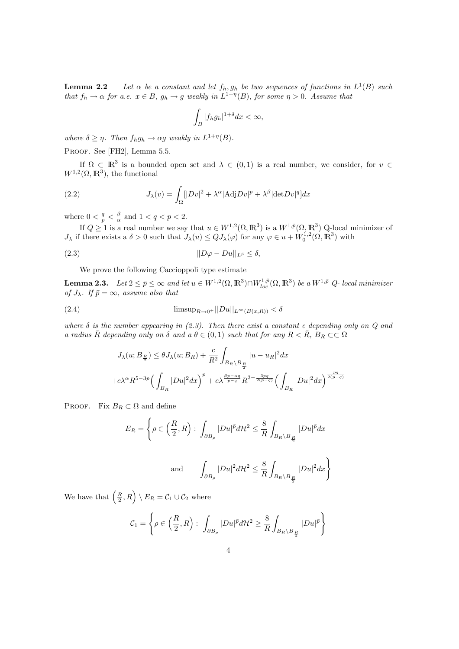**Lemma 2.2** Let  $\alpha$  be a constant and let  $f_h, g_h$  be two sequences of functions in  $L^1(B)$  such that  $f_h \to \alpha$  for a.e.  $x \in B$ ,  $g_h \to g$  weakly in  $L^{1+\eta}(B)$ , for some  $\eta > 0$ . Assume that

$$
\int_B |f_h g_h|^{1+\delta} dx < \infty,
$$

where  $\delta \geq \eta$ . Then  $f_h g_h \to \alpha g$  weakly in  $L^{1+\eta}(B)$ .

PROOF. See [FH2], Lemma 5.5.

If  $\Omega \subset \mathbb{R}^3$  is a bounded open set and  $\lambda \in (0,1)$  is a real number, we consider, for  $v \in$  $W^{1,2}(\Omega,\mathbb{R}^3)$ , the functional

(2.2) 
$$
J_{\lambda}(v) = \int_{\Omega} [|Dv|^2 + \lambda^{\alpha} | \text{Adj} Dv |^p + \lambda^{\beta} | \text{det} Dv |^q ] dx
$$

where  $0 < \frac{q}{p} < \frac{\beta}{\alpha}$  and  $1 < q < p < 2$ .

If  $Q \geq 1$  is a real number we say that  $u \in W^{1,2}(\Omega,\mathbb{R}^3)$  is a  $W^{1,\bar{p}}(\Omega,\mathbb{R}^3)$  Q-local minimizer of  $J_{\lambda}$  if there exists a  $\delta > 0$  such that  $J_{\lambda}(u) \leq Q J_{\lambda}(\varphi)$  for any  $\varphi \in u + W_0^{1,2}(\Omega, \mathbb{R}^3)$  with

$$
||D\varphi - Du||_{L^{\bar{p}}} \leq \delta,
$$

We prove the following Caccioppoli type estimate

**Lemma 2.3.** Let  $2 \leq \bar{p} \leq \infty$  and let  $u \in W^{1,2}(\Omega,\mathbb{R}^3) \cap W^{1,\bar{p}}_{loc}(\Omega,\mathbb{R}^3)$  be a  $W^{1,\bar{p}}$  Q-local minimizer of  $J_{\lambda}$ . If  $\bar{p} = \infty$ , assume also that

$$
\text{(2.4)} \qquad \qquad \text{limsup}_{R \to 0^+} ||Du||_{L^{\infty}(B(x,R))} < \delta
$$

where  $\delta$  is the number appearing in (2.3). Then there exist a constant c depending only on Q and a radius  $\bar{R}$  depending only on  $\delta$  and a  $\theta \in (0,1)$  such that for any  $R < \bar{R}$ ,  $B_R \subset\subset \Omega$ 

$$
J_{\lambda}(u; B_{\frac{R}{2}}) \leq \theta J_{\lambda}(u; B_R) + \frac{c}{R^2} \int_{B_R \setminus B_{\frac{R}{2}}} |u - u_R|^2 dx
$$
  
+  $c \lambda^{\alpha} R^{5-3p} \Big( \int_{B_R} |Du|^2 dx \Big)^p + c \lambda^{\frac{\beta p - \alpha q}{p - q}} R^{3 - \frac{3pq}{2(p - q)}} \Big( \int_{B_R} |Du|^2 dx \Big)^{\frac{pq}{2(p - q)}}$ 

PROOF. Fix  $B_R \subset \Omega$  and define

$$
E_R = \left\{ \rho \in \left(\frac{R}{2}, R\right) : \int_{\partial B_{\rho}} |Du|^{\bar{p}} d\mathcal{H}^2 \leq \frac{8}{R} \int_{B_R \setminus B_{\frac{R}{2}}} |Du|^{\bar{p}} dx \right\}
$$

and 
$$
\int_{\partial B_{\rho}} |Du|^2 d\mathcal{H}^2 \leq \frac{8}{R} \int_{B_R \setminus B_{\frac{R}{2}}} |Du|^2 dx \Bigg\}
$$

We have that  $\left(\frac{R}{2}, R\right) \setminus E_R = C_1 \cup C_2$  where

$$
\mathcal{C}_1 = \left\{ \rho \in \left( \frac{R}{2}, R \right): \ \int_{\partial B_{\rho}} |Du|^{\bar{p}} d\mathcal{H}^2 \geq \frac{8}{R} \int_{B_R \setminus B_{\frac{R}{2}}} |Du|^{\bar{p}} \right\}
$$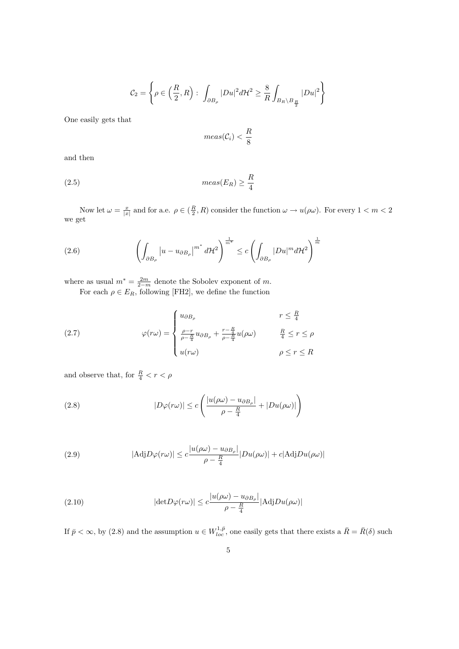$$
\mathcal{C}_2 = \left\{ \rho \in \left( \frac{R}{2}, R \right) : \int_{\partial B_{\rho}} |Du|^2 d\mathcal{H}^2 \geq \frac{8}{R} \int_{B_R \setminus B_{\frac{R}{2}}} |Du|^2 \right\}
$$

One easily gets that

$$
meas(\mathcal{C}_i) < \frac{R}{8}
$$

and then

$$
(2.5) \t meas(E_R) \ge \frac{R}{4}
$$

Now let  $\omega = \frac{x}{|x|}$  and for a.e.  $\rho \in (\frac{R}{2}, R)$  consider the function  $\omega \to u(\rho \omega)$ . For every  $1 < m < 2$ we get

(2.6) 
$$
\left(\int_{\partial B_{\rho}}\left|u-u_{\partial B_{\rho}}\right|^{m^*}d\mathcal{H}^2\right)^{\frac{1}{m^*}} \leq c\left(\int_{\partial B_{\rho}}|Du|^m d\mathcal{H}^2\right)^{\frac{1}{m}}
$$

where as usual  $m^* = \frac{2m}{2-m}$  denote the Sobolev exponent of m. For each  $\rho \in E_R$ , following [FH2], we define the function

(2.7) 
$$
\varphi(r\omega) = \begin{cases} u_{\partial B_{\rho}} & r \leq \frac{R}{4} \\ \frac{\rho - r}{\rho - \frac{R}{4}} u_{\partial B_{\rho}} + \frac{r - \frac{R}{4}}{\rho - \frac{R}{4}} u(\rho \omega) & \frac{R}{4} \leq r \leq \rho \\ u(r\omega) & \rho \leq r \leq R \end{cases}
$$

and observe that, for  $\frac{R}{4} < r < \rho$ 

(2.8) 
$$
|D\varphi(r\omega)| \leq c \left( \frac{|u(\rho\omega) - u_{\partial B_{\rho}}|}{\rho - \frac{R}{4}} + |Du(\rho\omega)| \right)
$$

(2.9) 
$$
|\text{Adj}D\varphi(r\omega)| \leq c \frac{|u(\rho\omega) - u_{\partial B_{\rho}}|}{\rho - \frac{R}{4}} |Du(\rho\omega)| + c |\text{Adj}Du(\rho\omega)|
$$

(2.10) 
$$
|\text{det} D\varphi(r\omega)| \leq c \frac{|u(\rho\omega) - u_{\partial B_{\rho}}|}{\rho - \frac{R}{4}} |\text{Adj} Du(\rho\omega)|
$$

If  $\bar{p} < \infty$ , by (2.8) and the assumption  $u \in W_{loc}^{1,\bar{p}}$ , one easily gets that there exists a  $\bar{R} = \bar{R}(\delta)$  such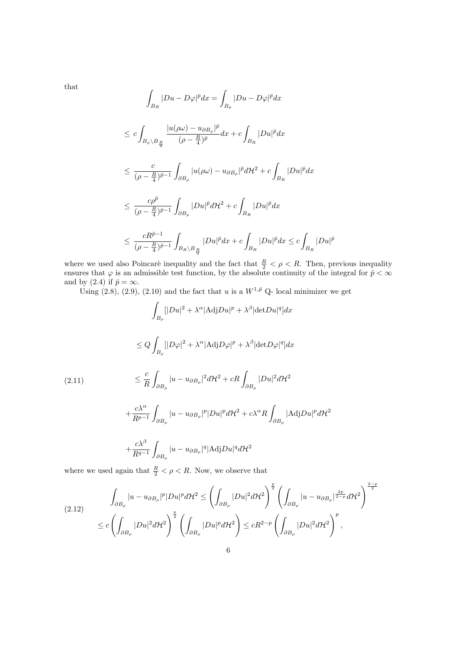that

$$
\int_{B_R} |Du - D\varphi|^{\bar{p}} dx = \int_{B_{\rho}} |Du - D\varphi|^{\bar{p}} dx
$$
\n
$$
\leq c \int_{B_{\rho} \setminus B_{\frac{R}{4}}} \frac{|u(\rho\omega) - u_{\partial B_{\rho}}|^{\bar{p}}}{(\rho - \frac{R}{4})^{\bar{p}}} dx + c \int_{B_R} |Du|^{\bar{p}} dx
$$
\n
$$
\leq \frac{c}{(\rho - \frac{R}{4})^{\bar{p}-1}} \int_{\partial B_{\rho}} |u(\rho\omega) - u_{\partial B_{\rho}}|^{\bar{p}} d\mathcal{H}^2 + c \int_{B_R} |Du|^{\bar{p}} dx
$$
\n
$$
\leq \frac{c\rho^{\bar{p}}}{(\rho - \frac{R}{4})^{\bar{p}-1}} \int_{\partial B_{\rho}} |Du|^{\bar{p}} d\mathcal{H}^2 + c \int_{B_R} |Du|^{\bar{p}} dx
$$
\n
$$
\leq \frac{cR^{\bar{p}-1}}{(\rho - \frac{R}{4})^{\bar{p}-1}} \int_{B_R \setminus B_{\frac{R}{2}}} |Du|^{\bar{p}} dx + c \int_{B_R} |Du|^{\bar{p}} dx \leq c \int_{B_R} |Du|^{\bar{p}}
$$

where we used also Poincaré inequality and the fact that  $\frac{R}{2} < \rho < R$ . Then, previous inequality ensures that  $\varphi$  is an admissible test function, by the absolute continuity of the integral for  $\bar{p} < \infty$ and by (2.4) if  $\bar{p} = \infty$ .

Using (2.8), (2.9), (2.10) and the fact that u is a  $W^{1,\bar{p}}$  Q- local minimizer we get

$$
\int_{B_{\rho}} [|Du|^2 + \lambda^{\alpha} | \text{Adj}Du |^p + \lambda^{\beta} | \text{det}Du |^q] dx
$$
  
\n
$$
\leq Q \int_{B_{\rho}} [|D\varphi|^2 + \lambda^{\alpha} | \text{Adj}D\varphi|^p + \lambda^{\beta} | \text{det}D\varphi|^q] dx
$$
  
\n(2.11)  
\n
$$
\leq \frac{c}{R} \int_{\partial B_{\rho}} |u - u_{\partial B_{\rho}}|^2 d\mathcal{H}^2 + cR \int_{\partial B_{\rho}} |Du|^2 d\mathcal{H}^2
$$
  
\n
$$
+ \frac{c\lambda^{\alpha}}{R^{p-1}} \int_{\partial B_{\rho}} |u - u_{\partial B_{\rho}}|^p |Du|^p d\mathcal{H}^2 + c\lambda^{\alpha} R \int_{\partial B_{\rho}} | \text{Adj}Du|^p d\mathcal{H}^2
$$
  
\n
$$
+ \frac{c\lambda^{\beta}}{R^{q-1}} \int_{\partial B_{\rho}} |u - u_{\partial B_{\rho}}|^q |\text{Adj}Du|^q d\mathcal{H}^2
$$

where we used again that  $\frac{R}{2} < \rho < R$ . Now, we observe that

$$
(2.12) \qquad \int_{\partial B_{\rho}} |u - u_{\partial B_{\rho}}|^p |Du|^p d\mathcal{H}^2 \leq \left(\int_{\partial B_{\rho}} |Du|^2 d\mathcal{H}^2\right)^{\frac{p}{2}} \left(\int_{\partial B_{\rho}} |u - u_{\partial B_{\rho}}|^{\frac{2p}{2-p}} d\mathcal{H}^2\right)^{\frac{2-p}{2}}
$$

$$
\leq c \left(\int_{\partial B_{\rho}} |Du|^2 d\mathcal{H}^2\right)^{\frac{p}{2}} \left(\int_{\partial B_{\rho}} |Du|^p d\mathcal{H}^2\right) \leq cR^{2-p} \left(\int_{\partial B_{\rho}} |Du|^2 d\mathcal{H}^2\right)^p,
$$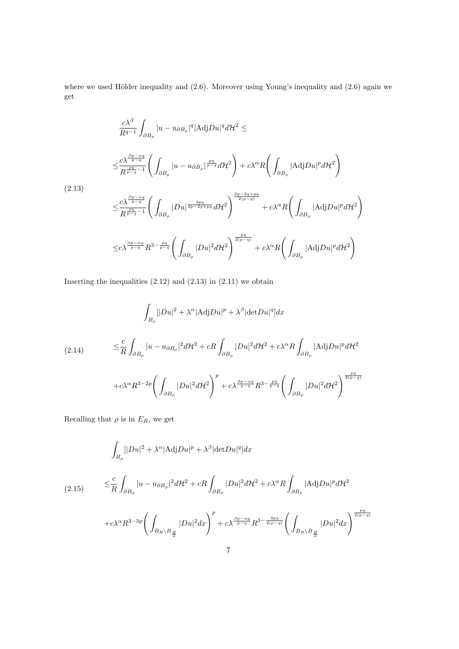where we used Hölder inequality and  $(2.6)$ . Moreover using Young's inequality and  $(2.6)$  again we get

$$
\frac{c\lambda^{\beta}}{R^{q-1}} \int_{\partial B_{\rho}} |u - u_{\partial B_{\rho}}|^{q} |\text{Adj}Du|^{q} d\mathcal{H}^{2} \le
$$
\n
$$
\leq \frac{c\lambda^{\frac{\beta p - \alpha q}{p - q}}}{R^{\frac{pq}{p - q} - 1}} \left( \int_{\partial B_{\rho}} |u - u_{\partial B_{\rho}}|^{p} \frac{u}{p - q} d\mathcal{H}^{2} \right) + c\lambda^{\alpha} R \left( \int_{\partial B_{\rho}} |\text{Adj}Du|^{p} d\mathcal{H}^{2} \right)
$$
\n
$$
\leq \frac{c\lambda^{\frac{\beta p - \alpha q}{p - q}}}{R^{\frac{pq}{p - q} - 1}} \left( \int_{\partial B_{\rho}} |Du|^{p} \frac{u}{p - 2q + pq} d\mathcal{H}^{2} \right)^{\frac{2p - 2q + pq}{2(p - q)}} + c\lambda^{\alpha} R \left( \int_{\partial B_{\rho}} |\text{Adj}Du|^{p} d\mathcal{H}^{2} \right)
$$
\n
$$
\leq c\lambda^{\frac{\beta p - \alpha q}{p - q}} R^{3 - \frac{pq}{p - q}} \left( \int_{\partial B_{\rho}} |Du|^{2} d\mathcal{H}^{2} \right)^{\frac{pq}{2(p - q)}} + c\lambda^{\alpha} R \left( \int_{\partial B_{\rho}} |\text{Adj}Du|^{p} d\mathcal{H}^{2} \right)
$$

Inserting the inequalities  $(2.12)$  and  $(2.13)$  in  $(2.11)$  we obtain

$$
\int_{B_{\rho}} [|Du|^2 + \lambda^{\alpha}|AdjDu|^p + \lambda^{\beta}|detDu|^q]dx
$$
\n
$$
\leq \frac{c}{R} \int_{\partial B_{\rho}} |u - u_{\partial B_{\rho}}|^2 d\mathcal{H}^2 + cR \int_{\partial B_{\rho}} |Du|^2 d\mathcal{H}^2 + c\lambda^{\alpha} R \int_{\partial B_{\rho}} |AdjDu|^p d\mathcal{H}^2
$$
\n
$$
+ c\lambda^{\alpha} R^{3-2p} \bigg( \int_{\partial B_{\rho}} |Du|^2 d\mathcal{H}^2 \bigg)^p + c\lambda^{\frac{\beta p - \alpha q}{p - q}} R^{3 - \frac{pq}{p - q}} \bigg( \int_{\partial B_{\rho}} |Du|^2 d\mathcal{H}^2 \bigg)^{\frac{pq}{2(p - q)}}
$$

Recalling that  $\rho$  is in  $E_R$ , we get

$$
\int_{B_{\rho}} [|Du|^2 + \lambda^{\alpha} | \text{Adj}Du |^p + \lambda^{\beta} | \text{det}Du |^q] dx
$$
\n
$$
(2.15) \qquad \leq \frac{c}{R} \int_{\partial B_{\rho}} |u - u_{\partial B_{\rho}}|^2 d\mathcal{H}^2 + cR \int_{\partial B_{\rho}} |Du|^2 d\mathcal{H}^2 + c\lambda^{\alpha} R \int_{\partial B_{\rho}} |\text{Adj}Du|^p d\mathcal{H}^2
$$
\n
$$
+ c\lambda^{\alpha} R^{3-3p} \bigg( \int_{B_R \setminus B_{\frac{R}{2}}} |Du|^2 dx \bigg)^p + c\lambda^{\frac{\beta p - \alpha q}{p - q}} R^{3 - \frac{3pq}{2(p - q)}} \bigg( \int_{B_R \setminus B_{\frac{R}{2}}} |Du|^2 dx \bigg)^{\frac{pq}{2(p - q)}}
$$
\n
$$
7
$$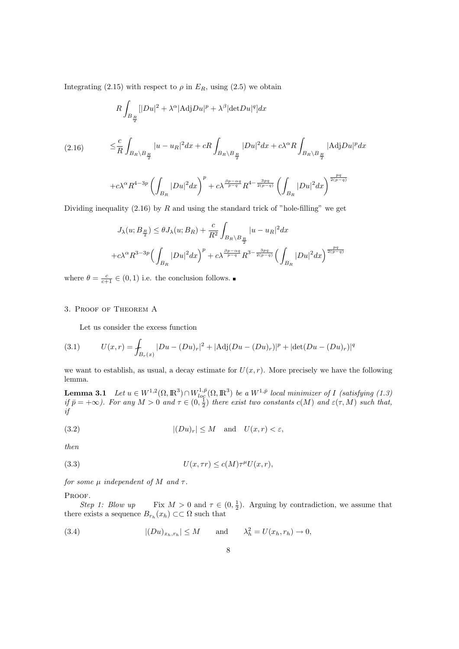Integrating (2.15) with respect to  $\rho$  in  $E_R$ , using (2.5) we obtain

$$
R\int_{B_{\frac{R}{2}}} |[Du|^2 + \lambda^{\alpha}|\text{Adj}Du|^p + \lambda^{\beta}|\text{det}Du|^q]dx
$$
  
(2.16) 
$$
\leq \frac{c}{R}\int_{B_R\setminus B_{\frac{R}{2}}} |u - u_R|^2 dx + cR\int_{B_R\setminus B_{\frac{R}{2}}} |Du|^2 dx + c\lambda^{\alpha}R\int_{B_R\setminus B_{\frac{R}{2}}} |\text{Adj}Du|^p dx
$$

$$
+ c\lambda^{\alpha}R^{4-3p}\left(\int_{B_R} |Du|^2 dx\right)^p + c\lambda^{\frac{\beta p - \alpha q}{p - q}}R^{4-\frac{3pq}{2(p-q)}}\left(\int_{B_R} |Du|^2 dx\right)^{\frac{pq}{2(p-q)}}
$$

Dividing inequality  $(2.16)$  by R and using the standard trick of "hole-filling" we get

$$
J_{\lambda}(u; B_{\frac{R}{2}}) \leq \theta J_{\lambda}(u; B_R) + \frac{c}{R^2} \int_{B_R \setminus B_{\frac{R}{2}}} |u - u_R|^2 dx
$$
  
+  $c \lambda^{\alpha} R^{3-3p} \Big( \int_{B_R} |Du|^2 dx \Big)^p + c \lambda^{\frac{\beta p - \alpha q}{p-q}} R^{3 - \frac{3pq}{2(p-q)}} \Big( \int_{B_R} |Du|^2 dx \Big)^{\frac{pq}{2(p-q)}}$ 

where  $\theta = \frac{c}{c+1} \in (0,1)$  i.e. the conclusion follows.

## 3. Proof of Theorem A

Let us consider the excess function

(3.1) 
$$
U(x,r) = \int_{B_r(x)} |Du - (Du)_r|^2 + |\text{Adj}(Du - (Du)_r)|^p + |\text{det}(Du - (Du)_r)|^q
$$

we want to establish, as usual, a decay estimate for  $U(x, r)$ . More precisely we have the following lemma.

**Lemma 3.1** Let  $u \in W^{1,2}(\Omega,\mathbb{R}^3) \cap W^{1,\bar{p}}_{log}(\Omega,\mathbb{R}^3)$  be a  $W^{1,\bar{p}}$  local minimizer of I (satisfying (1.3) if  $\bar{p} = +\infty$ ). For any  $M > 0$  and  $\tau \in (0, \frac{1}{2})$  there exist two constants  $c(M)$  and  $\varepsilon(\tau, M)$  such that, if

(3.2) 
$$
|(Du)_r| \le M \quad \text{and} \quad U(x,r) < \varepsilon,
$$

then

$$
(3.3) \tU(x, \tau r) \le c(M)\tau^{\mu}U(x, r),
$$

for some  $\mu$  independent of M and  $\tau$ .

PROOF.

Step 1: Blow up Fix  $M > 0$  and  $\tau \in (0, \frac{1}{2})$ . Arguing by contradiction, we assume that there exists a sequence  $B_{r_h}(x_h) \subset\subset \Omega$  such that

(3.4) 
$$
|(Du)_{x_h,r_h}| \le M \quad \text{and} \quad \lambda_h^2 = U(x_h,r_h) \to 0,
$$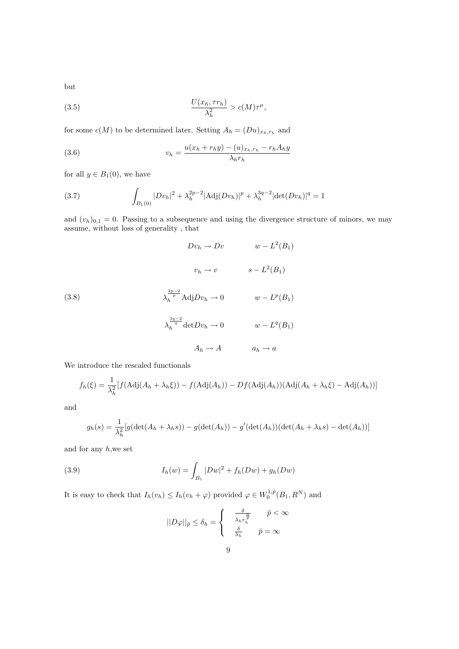but

(3.5) 
$$
\frac{U(x_h, \tau r_h)}{\lambda_h^2} > c(M)\tau^{\mu},
$$

for some  $c(M)$  to be determined later. Setting  $A_h = (Du)_{x_h, r_h}$  and

(3.6) 
$$
v_{h} = \frac{u(x_{h} + r_{h}y) - (u)_{x_{h},r_{h}} - r_{h}A_{h}y}{\lambda_{h}r_{h}}
$$

for all  $y \in B_1(0)$ , we have

(3.7) 
$$
\int_{B_1(0)} |Dv_h|^2 + \lambda_h^{2p-2} |\text{Adj}(Dv_h)|^p + \lambda_h^{3q-2} |\text{det}(Dv_h)|^q = 1
$$

and  $(v_h)_{0,1} = 0$ . Passing to a subsequence and using the divergence structure of minors, we may assume, without loss of generality , that

(3.8)  
\n
$$
Dv_h \to Dv \qquad w - L^2(B_1)
$$
\n
$$
v_h \to v \qquad s - L^2(B_1)
$$
\n
$$
\lambda_h^{\frac{2p-2}{p}} \text{Adj} Dv_h \to 0 \qquad w - L^p(B_1)
$$
\n
$$
\lambda_h^{\frac{3q-2}{q}} \det Dv_h \to 0 \qquad w - L^q(B_1)
$$
\n
$$
A_h \to A \qquad a_h \to a
$$

We introduce the rescaled functionals

$$
f_h(\xi) = \frac{1}{\lambda_h^2} [f(\text{Adj}(A_h + \lambda_h \xi)) - f(\text{Adj}(A_h)) - Df(\text{Adj}(A_h))(\text{Adj}(A_h + \lambda_h \xi) - \text{Adj}(A_h))]
$$

and

$$
g_h(s) = \frac{1}{\lambda_h^2} [g(\det(A_h + \lambda_h s)) - g(\det(A_h)) - g'(\det(A_h))(\det(A_h + \lambda_h s) - \det(A_h))]
$$

and for any  $h$ , we set

(3.9) 
$$
I_h(w) = \int_{B_1} |Dw|^2 + f_h(Dw) + g_h(Dw)
$$

It is easy to check that  $I_h(v_h) \leq I_h(v_h + \varphi)$  provided  $\varphi \in W_0^{1, \bar{p}}(B_1, R^N)$  and

$$
||D\varphi||_{\bar{p}}\leq \delta_h=\left\{\begin{array}{cl} \frac{\delta}{\lambda_h r_h^{\frac{\overline{n}}{\overline{\rho}}}} & \bar{p}<\infty\\ \frac{\delta}{\lambda_h} & \bar{p}=\infty \end{array}\right.
$$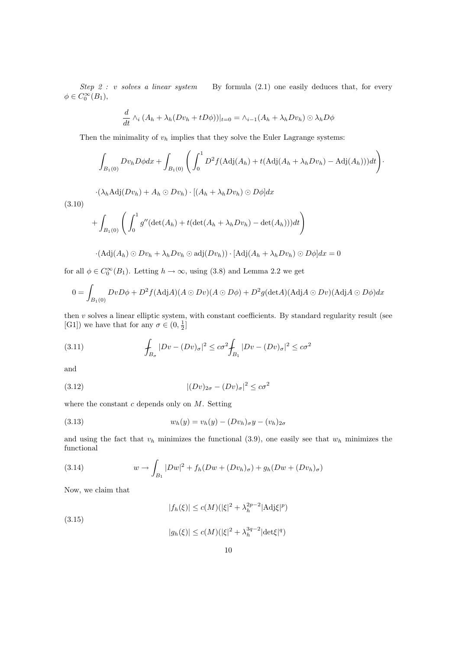Step 2 : v solves a linear system By formula  $(2.1)$  one easily deduces that, for every  $\phi \in C_0^{\infty}(B_1),$ 

$$
\frac{d}{dt}\wedge_i (A_h + \lambda_h (Dv_h + tD\phi))|_{t=0} = \wedge_{i=1} (A_h + \lambda_h Dv_h) \odot \lambda_h D\phi
$$

Then the minimality of  $v<sub>h</sub>$  implies that they solve the Euler Lagrange systems:

$$
\int_{B_1(0)} Dv_h D\phi dx + \int_{B_1(0)} \left( \int_0^1 D^2 f(\text{Adj}(A_h) + t(\text{Adj}(A_h + \lambda_h Dv_h) - \text{Adj}(A_h)))dt \right) \cdot
$$

 $\cdot(\lambda_h \text{Adj}(Dv_h) + A_h \odot Dv_h) \cdot [(A_h + \lambda_h Dv_h) \odot D\phi]dx$ 

$$
+\int_{B_1(0)}\left(\int_0^1g''(\det(A_h)+t(\det(A_h+\lambda_hDv_h)-\det(A_h)))dt\right)
$$

$$
\cdot(\mathrm{Adj}(A_h)\odot Dv_h+\lambda_hDv_h\odot\mathrm{adj}(Dv_h))\cdot[\mathrm{Adj}(A_h+\lambda_hDv_h)\odot D\phi]dx=0
$$

for all  $\phi \in C_0^{\infty}(B_1)$ . Letting  $h \to \infty$ , using (3.8) and Lemma 2.2 we get

$$
0 = \int_{B_1(0)} Dv D\phi + D^2 f (\text{Adj}A)(A \odot Dv)(A \odot D\phi) + D^2 g (\text{det}A)(\text{Adj}A \odot Dv)(\text{Adj}A \odot D\phi) dx
$$

then  $v$  solves a linear elliptic system, with constant coefficients. By standard regularity result (see [G1]) we have that for any  $\sigma \in (0, \frac{1}{2}]$ 

(3.11) 
$$
\int_{B_{\sigma}} |Dv - (Dv)_{\sigma}|^2 \leq c\sigma^2 \int_{B_1} |Dv - (Dv)_{\sigma}|^2 \leq c\sigma^2
$$

and

(3.10)

$$
(3.12)\qquad \qquad |(Dv)_{2\sigma} - (Dv)_{\sigma}|^2 \leq c\sigma^2
$$

where the constant  $c$  depends only on  $M$ . Setting

(3.13) 
$$
w_h(y) = v_h(y) - (Dv_h)_{\sigma}y - (v_h)_{2\sigma}
$$

and using the fact that  $v_h$  minimizes the functional (3.9), one easily see that  $w_h$  minimizes the functional

(3.14) 
$$
w \to \int_{B_1} |Dw|^2 + f_h(Dw + (Dv_h)_{\sigma}) + g_h(Dw + (Dv_h)_{\sigma})
$$

Now, we claim that

 $|f_h(\xi)| \le c(M) (|\xi|^2 + \lambda_h^{2p-2} |\text{Adj}\xi|^p)$ 

(3.15)

$$
|g_h(\xi)|\leq c(M) (|\xi|^2+\lambda_h^{3q-2}|\text{det}\xi|^q)
$$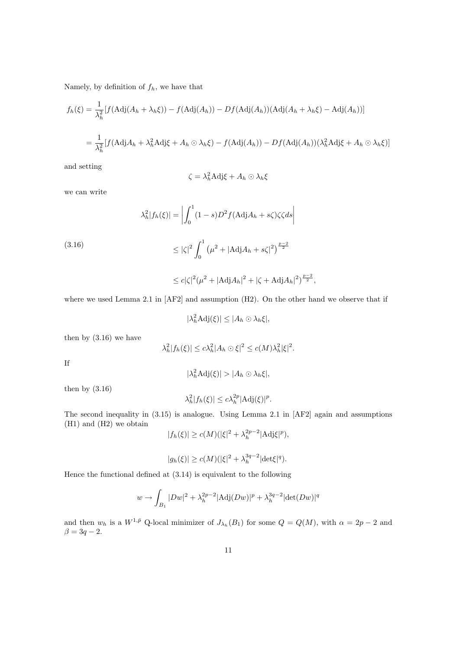Namely, by definition of  $f_h$ , we have that

$$
f_h(\xi) = \frac{1}{\lambda_h^2} [f(\text{Adj}(A_h + \lambda_h \xi)) - f(\text{Adj}(A_h)) - Df(\text{Adj}(A_h))(\text{Adj}(A_h + \lambda_h \xi) - \text{Adj}(A_h))]
$$
  

$$
= \frac{1}{\lambda_h^2} [f(\text{Adj}A_h + \lambda_h^2 \text{Adj}\xi + A_h \odot \lambda_h \xi) - f(\text{Adj}(A_h)) - Df(\text{Adj}(A_h))(\lambda_h^2 \text{Adj}\xi + A_h \odot \lambda_h \xi)]
$$

and setting

$$
\zeta = \lambda_h^2 \text{Adj}\xi + A_h \odot \lambda_h \xi
$$

we can write

$$
\lambda_h^2 |f_h(\xi)| = \left| \int_0^1 (1-s) D^2 f(\text{Adj} A_h + s\zeta) \zeta \zeta ds \right|
$$

(3.16)  
\n
$$
\leq |\zeta|^2 \int_0^1 (\mu^2 + |\text{Adj}A_h + s\zeta|^2)^{\frac{p-2}{2}}
$$
\n
$$
\leq c|\zeta|^2 (\mu^2 + |\text{Adj}A_h|^2 + |\zeta + \text{Adj}A_h|^2)^{\frac{p-2}{2}},
$$

where we used Lemma 2.1 in [AF2] and assumption (H2). On the other hand we observe that if

$$
|\lambda_h^2 \text{Adj}(\xi)| \le |A_h \odot \lambda_h \xi|,
$$

then by (3.16) we have

$$
\lambda_h^2|f_h(\xi)| \le c\lambda_h^2|A_h \odot \xi|^2 \le c(M)\lambda_h^2|\xi|^2.
$$

If

 $|\lambda_h^2 \text{Adj}(\xi)| > |A_h \odot \lambda_h \xi|,$ 

then by  $(3.16)$ 

$$
\lambda_h^2 |f_h(\xi)| \le c \lambda_h^{2p} |\mathrm{Adj}(\xi)|^p.
$$

The second inequality in (3.15) is analogue. Using Lemma 2.1 in [AF2] again and assumptions (H1) and (H2) we obtain

$$
|f_h(\xi)| \ge c(M)(|\xi|^2 + \lambda_h^{2p-2} |\text{Adj}\xi|^p),
$$

$$
|g_h(\xi)| \ge c(M) (|\xi|^2 + \lambda_h^{3q-2} |\text{det}\xi|^q).
$$

Hence the functional defined at (3.14) is equivalent to the following

$$
w \to \int_{B_1} |Dw|^2 + \lambda_h^{2p-2} |\text{Adj}(Dw)|^p + \lambda_h^{3q-2} |\text{det}(Dw)|^q
$$

and then  $w_h$  is a  $W^{1,\bar{p}}$  Q-local minimizer of  $J_{\lambda_h}(B_1)$  for some  $Q = Q(M)$ , with  $\alpha = 2p-2$  and  $\beta = 3q - 2.$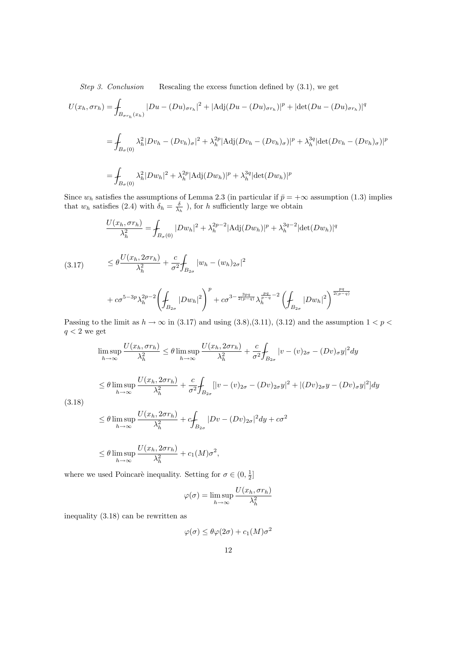Step 3. Conclusion Rescaling the excess function defined by  $(3.1)$ , we get

$$
U(x_h, \sigma r_h) = \int_{B_{\sigma r_h}(x_h)} |Du - (Du)_{\sigma r_h}|^2 + |\text{Adj}(Du - (Du)_{\sigma r_h})|^p + |\text{det}(Du - (Du)_{\sigma r_h})|^q
$$
  
= 
$$
\int_{B_{\sigma}(0)} \lambda_h^2 |Dv_h - (Dv_h)_{\sigma}|^2 + \lambda_h^{2p} |\text{Adj}(Dv_h - (Dv_h)_{\sigma})|^p + \lambda_h^{3q} |\text{det}(Dv_h - (Dv_h)_{\sigma})|^p
$$
  
= 
$$
\int_{B_{\sigma}(0)} \lambda_h^2 |Dw_h|^2 + \lambda_h^{2p} |\text{Adj}(Dw_h)|^p + \lambda_h^{3q} |\text{det}(Dw_h)|^p
$$

Since  $w_h$  satisfies the assumptions of Lemma 2.3 (in particular if  $\bar{p} = +\infty$  assumption (1.3) implies that  $w_h$  satisfies (2.4) with  $\delta_h = \frac{\delta}{\lambda_h}$ , for h sufficiently large we obtain

$$
\frac{U(x_h, \sigma r_h)}{\lambda_h^2} = \int_{B_{\sigma}(0)} |Dw_h|^2 + \lambda_h^{2p-2} |\text{Adj}(Dw_h)|^p + \lambda_h^{3q-2} |\text{det}(Dw_h)|^q
$$
\n
$$
\leq \theta \frac{U(x_h, 2\sigma r_h)}{\lambda_h^2} + \frac{c}{\sigma^2} \int_{B_{2\sigma}} |w_h - (w_h)_{2\sigma}|^2
$$

$$
+ c\sigma^{5-3p}\lambda_h^{2p-2}\left(\int_{B_{2\sigma}}|Dw_h|^2\right)^p + c\sigma^{3-\frac{3pq}{2(p-q)}}\lambda_h^{\frac{pq}{p-q}-2}\left(\int_{B_{2\sigma}}|Dw_h|^2\right)^{\frac{pq}{2(p-q)}}
$$

Passing to the limit as  $h \to \infty$  in (3.17) and using (3.8),(3.11), (3.12) and the assumption  $1 < p <$  $q<2$  we get

$$
\limsup_{h \to \infty} \frac{U(x_h, \sigma r_h)}{\lambda_h^2} \le \theta \limsup_{h \to \infty} \frac{U(x_h, 2\sigma r_h)}{\lambda_h^2} + \frac{c}{\sigma^2} \int_{B_{2\sigma}} |v - (v)_{2\sigma} - (Dv)_{\sigma} y|^2 dy
$$

$$
\leq \theta \limsup_{h \to \infty} \frac{U(x_h, 2\sigma r_h)}{\lambda_h^2} + \frac{c}{\sigma^2} \int_{B_{2\sigma}} [|v - (v)_{2\sigma} - (Dv)_{2\sigma}y|^2 + |(Dv)_{2\sigma}y - (Dv)_{\sigma}y|^2] dy
$$

(3.18)

$$
\leq \theta \limsup_{h \to \infty} \frac{U(x_h, 2\sigma r_h)}{\lambda_h^2} + c \int_{B_{2\sigma}} |Dv - (Dv)_{2\sigma}|^2 dy + c\sigma^2
$$

$$
\leq \theta \limsup_{h \to \infty} \frac{U(x_h, 2\sigma r_h)}{\lambda_h^2} + c_1(M)\sigma^2,
$$

where we used Poincarè inequality. Setting for  $\sigma \in (0, \frac{1}{2}]$ 

$$
\varphi(\sigma) = \limsup_{h \to \infty} \frac{U(x_h, \sigma r_h)}{\lambda_h^2}
$$

inequality (3.18) can be rewritten as

$$
\varphi(\sigma) \le \theta \varphi(2\sigma) + c_1(M)\sigma^2
$$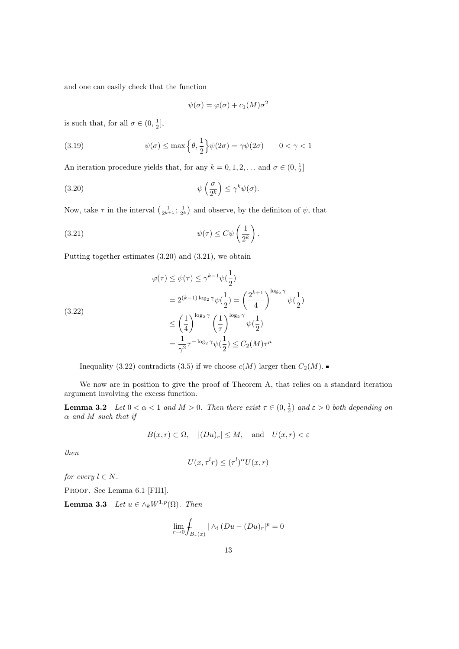and one can easily check that the function

$$
\psi(\sigma) = \varphi(\sigma) + c_1(M)\sigma^2
$$

is such that, for all  $\sigma \in (0, \frac{1}{2}],$ 

(3.19) 
$$
\psi(\sigma) \le \max\left\{\theta, \frac{1}{2}\right\} \psi(2\sigma) = \gamma \psi(2\sigma) \qquad 0 < \gamma < 1
$$

An iteration procedure yields that, for any  $k = 0, 1, 2, \dots$  and  $\sigma \in (0, \frac{1}{2}]$ 

(3.20) 
$$
\psi\left(\frac{\sigma}{2^k}\right) \leq \gamma^k \psi(\sigma).
$$

Now, take  $\tau$  in the interval  $\left(\frac{1}{2^{k+1}};\frac{1}{2^k}\right)$ ¢ and observe, by the definition of  $\psi$ , that

(3.21) 
$$
\psi(\tau) \leq C \psi\left(\frac{1}{2^k}\right).
$$

Putting together estimates (3.20) and (3.21), we obtain

(3.22)  
\n
$$
\varphi(\tau) \le \psi(\tau) \le \gamma^{k-1} \psi(\frac{1}{2})
$$
\n
$$
= 2^{(k-1)\log_2 \gamma} \psi(\frac{1}{2}) = \left(\frac{2^{k+1}}{4}\right)^{\log_2 \gamma} \psi(\frac{1}{2})
$$
\n
$$
\le \left(\frac{1}{4}\right)^{\log_2 \gamma} \left(\frac{1}{\tau}\right)^{\log_2 \gamma} \psi(\frac{1}{2})
$$
\n
$$
= \frac{1}{\gamma^2} \tau^{-\log_2 \gamma} \psi(\frac{1}{2}) \le C_2(M) \tau^{\mu}
$$

Inequality (3.22) contradicts (3.5) if we choose  $c(M)$  larger then  $C_2(M)$ .

We now are in position to give the proof of Theorem A, that relies on a standard iteration argument involving the excess function.

**Lemma 3.2** Let  $0 < \alpha < 1$  and  $M > 0$ . Then there exist  $\tau \in (0, \frac{1}{2})$  and  $\varepsilon > 0$  both depending on  $\alpha$  and M such that if

$$
B(x,r) \subset \Omega, \quad |(Du)_r| \le M, \quad \text{and} \quad U(x,r) < \varepsilon
$$

then

$$
U(x, \tau^l r) \leq (\tau^l)^{\alpha} U(x, r)
$$

for every  $l \in N$ .

PROOF. See Lemma 6.1 [FH1].

Lemma 3.3 Let  $u \in \wedge_k W^{1,p}(\Omega)$ . Then

$$
\lim_{r \to 0} \int_{B_r(x)} |\wedge_i (Du - (Du)_r|^p = 0
$$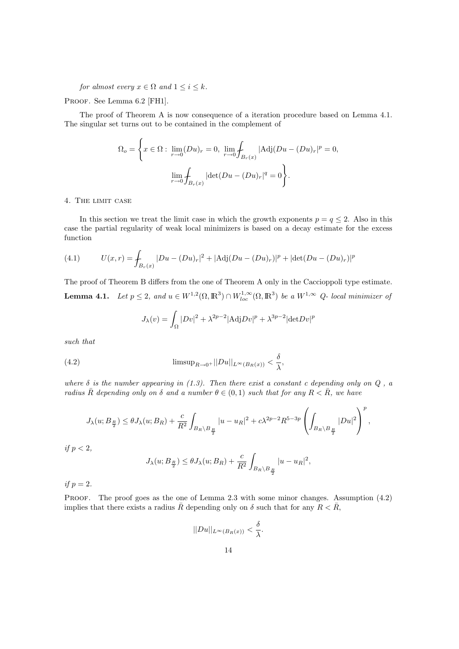for almost every  $x \in \Omega$  and  $1 \leq i \leq k$ .

PROOF. See Lemma 6.2 [FH1].

The proof of Theorem A is now consequence of a iteration procedure based on Lemma 4.1. The singular set turns out to be contained in the complement of

$$
\Omega_o = \left\{ x \in \Omega : \lim_{r \to 0} (Du)_r = 0, \lim_{r \to 0} \int_{B_r(x)} |Adj(Du - (Du)_r|^p = 0, \right\}
$$

$$
\lim_{r \to 0} \int_{B_r(x)} |det(Du - (Du)_r|^q = 0 \right\}.
$$

## 4. The limit case

In this section we treat the limit case in which the growth exponents  $p = q \leq 2$ . Also in this case the partial regularity of weak local minimizers is based on a decay estimate for the excess function

(4.1) 
$$
U(x,r) = \int_{B_r(x)} |Du - (Du)_r|^2 + |\text{Adj}(Du - (Du)_r)|^p + |\text{det}(Du - (Du)_r)|^p
$$

The proof of Theorem B differs from the one of Theorem A only in the Caccioppoli type estimate. **Lemma 4.1.** Let  $p \leq 2$ , and  $u \in W^{1,2}(\Omega,\mathbb{R}^3) \cap W^{1,\infty}_{loc}(\Omega,\mathbb{R}^3)$  be a  $W^{1,\infty}$  Q- local minimizer of

$$
J_{\lambda}(v) = \int_{\Omega} |Dv|^2 + \lambda^{2p-2} |\text{Adj}Dv|^p + \lambda^{3p-2} |\text{det}Dv|^p
$$

such that

(4.2) 
$$
\limsup_{R\to 0^+}||Du||_{L^{\infty}(B_R(x))}<\frac{\delta}{\lambda},
$$

where  $\delta$  is the number appearing in (1.3). Then there exist a constant c depending only on  $Q$ , a radius  $\bar{R}$  depending only on  $\delta$  and a number  $\theta \in (0,1)$  such that for any  $R < \bar{R}$ , we have

$$
J_\lambda(u;B_\frac{R}{2})\leq \theta J_\lambda(u;B_R)+\frac{c}{R^2}\int_{B_R\backslash B_\frac{R}{2}}|u-u_R|^2+c\lambda^{2p-2}R^{5-3p}\left(\int_{B_R\backslash B_\frac{R}{2}}|Du|^2\right)^p,
$$

$$
if p < 2,
$$

$$
J_{\lambda}(u;B_{\frac{R}{2}}) \leq \theta J_{\lambda}(u;B_R) + \frac{c}{R^2} \int_{B_R \backslash B_{\frac{R}{2}}} |u - u_R|^2,
$$

if  $p=2$ .

PROOF. The proof goes as the one of Lemma 2.3 with some minor changes. Assumption (4.2) implies that there exists a radius  $\bar{R}$  depending only on  $\delta$  such that for any  $R < \bar{R}$ ,

$$
||Du||_{L^{\infty}(B_R(x))} < \frac{\delta}{\lambda}.
$$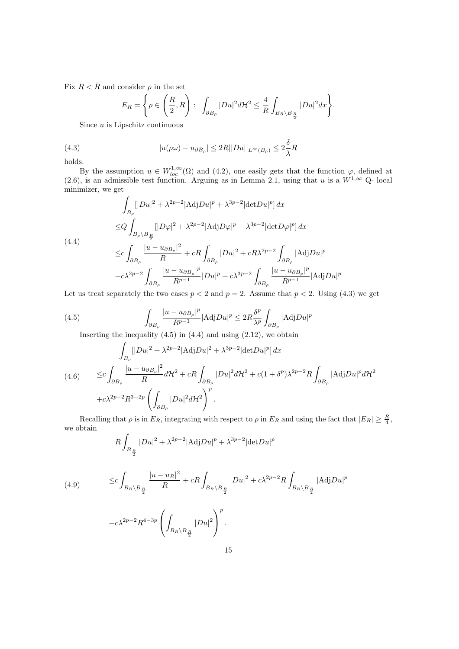Fix  $R < \bar{R}$  and consider  $\rho$  in the set

$$
E_R = \left\{ \rho \in \left( \frac{R}{2}, R \right) : \int_{\partial B_\rho} |Du|^2 d\mathcal{H}^2 \leq \frac{4}{R} \int_{B_R \setminus B_{\frac{R}{2}}} |Du|^2 dx \right\}.
$$

Since  $u$  is Lipschitz continuous

(4.3) 
$$
|u(\rho\omega) - u_{\partial B_{\rho}}| \le 2R||Du||_{L^{\infty}(B_{\rho})} \le 2\frac{\delta}{\lambda}R
$$

holds.

By the assumption  $u \in W_{loc}^{1,\infty}(\Omega)$  and  $(4.2)$ , one easily gets that the function  $\varphi$ , defined at (2.6), is an admissible test function. Arguing as in Lemma 2.1, using that u is a  $W^{1,\infty}$  Q-local minimizer, we get

$$
\int_{B_{\rho}} [|Du|^2 + \lambda^{2p-2} |\text{Adj}Du|^p + \lambda^{3p-2} |\text{det}Du|^p] dx
$$
  
\n
$$
\leq Q \int_{B_{\rho} \setminus B_{\frac{R}{2}}} [|D\varphi|^2 + \lambda^{2p-2} |\text{Adj}D\varphi|^p + \lambda^{3p-2} |\text{det}D\varphi|^p] dx
$$
  
\n
$$
\leq c \int_{\partial B_{\rho}} \frac{|u - u_{\partial B_{\rho}}|^2}{R} + cR \int_{\partial B_{\rho}} |Du|^2 + cR\lambda^{2p-2} \int_{\partial B_{\rho}} |\text{Adj}Du|^p
$$
  
\n
$$
+ c\lambda^{2p-2} \int_{\partial B_{\rho}} \frac{|u - u_{\partial B_{\rho}}|^p}{R^{p-1}} |Du|^p + c\lambda^{3p-2} \int_{\partial B_{\rho}} \frac{|u - u_{\partial B_{\rho}}|^p}{R^{p-1}} |\text{Adj}Du|^p
$$

Let us treat separately the two cases  $p < 2$  and  $p = 2$ . Assume that  $p < 2$ . Using (4.3) we get

(4.5) 
$$
\int_{\partial B_{\rho}} \frac{|u - u_{\partial B_{\rho}}|^p}{R^{p-1}} |\text{Adj}Du|^p \leq 2R \frac{\delta^p}{\lambda^p} \int_{\partial B_{\rho}} |\text{Adj}Du|^p
$$

Inserting the inequality  $(4.5)$  in  $(4.4)$  and using  $(2.12)$ , we obtain

$$
\int_{B_{\rho}} [|Du|^2 + \lambda^{2p-2} |\text{Adj} Du|^2 + \lambda^{3p-2} |\text{det} Du|^p] dx
$$
\n
$$
(4.6) \qquad \leq c \int_{\partial B_{\rho}} \frac{|u - u_{\partial B_{\rho}}|^2}{R} d\mathcal{H}^2 + cR \int_{\partial B_{\rho}} |Du|^2 d\mathcal{H}^2 + c(1 + \delta^p) \lambda^{2p-2} R \int_{\partial B_{\rho}} |\text{Adj} Du|^p d\mathcal{H}^2
$$
\n
$$
+ c\lambda^{2p-2} R^{3-2p} \left( \int_{\partial B_{\rho}} |Du|^2 d\mathcal{H}^2 \right)^p.
$$

Recalling that  $\rho$  is in  $E_R$ , integrating with respect to  $\rho$  in  $E_R$  and using the fact that  $|E_R| \geq \frac{R}{4}$ , we obtain

$$
R\int_{B_{\frac{R}{2}}} |Du|^2 + \lambda^{2p-2} |\text{Adj}Du|^p + \lambda^{3p-2} |\text{det}Du|^p
$$

(4.9) 
$$
\leq c \int_{B_R \setminus B_{\frac{R}{2}}} \frac{|u - u_R|^2}{R} + cR \int_{B_R \setminus B_{\frac{R}{2}}} |Du|^2 + c\lambda^{2p-2}R \int_{B_R \setminus B_{\frac{R}{2}}} |\text{Adj}Du|^p
$$

$$
+ c \lambda^{2p-2} R^{4-3p} \left( \int_{B_R \backslash B_{\frac{R}{2}}} |Du|^2 \right)^p.
$$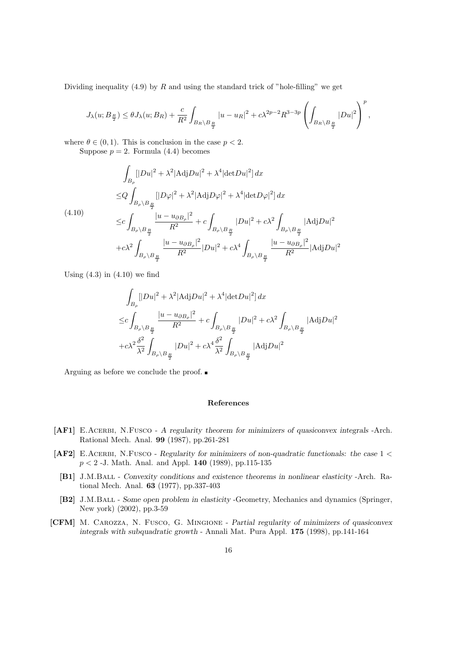Dividing inequality  $(4.9)$  by R and using the standard trick of "hole-filling" we get

$$
J_\lambda(u;B_{\frac R2})\leq \theta J_\lambda(u;B_R)+\frac{c}{R^2}\int_{B_R\backslash B_{\frac R2}}|u-u_R|^2+c\lambda^{2p-2}R^{3-3p}\left(\int_{B_R\backslash B_{\frac R2}}|Du|^2\right)^p,
$$

where  $\theta \in (0, 1)$ . This is conclusion in the case  $p < 2$ .

Suppose  $p = 2$ . Formula (4.4) becomes

$$
\int_{B_{\rho}} [|Du|^2 + \lambda^2 | \text{Adj} Du |^2 + \lambda^4 | \text{det} Du |^2] dx
$$
  
\n
$$
\leq Q \int_{B_{\rho} \setminus B_{\frac{R}{2}}} [|D\varphi|^2 + \lambda^2 | \text{Adj} D\varphi|^2 + \lambda^4 | \text{det} D\varphi|^2] dx
$$
  
\n(4.10)  
\n
$$
\leq C \int_{B_{\rho} \setminus B_{\frac{R}{2}}} \frac{|u - u_{\partial B_{\rho}}|^2}{R^2} + c \int_{B_{\rho} \setminus B_{\frac{R}{2}}} |Du|^2 + c\lambda^2 \int_{B_{\rho} \setminus B_{\frac{R}{2}}} |\text{Adj} Du|^2
$$
  
\n
$$
+ c\lambda^2 \int_{B_{\rho} \setminus B_{\frac{R}{2}}} \frac{|u - u_{\partial B_{\rho}}|^2}{R^2} |Du|^2 + c\lambda^4 \int_{B_{\rho} \setminus B_{\frac{R}{2}}} \frac{|u - u_{\partial B_{\rho}}|^2}{R^2} |\text{Adj} Du|^2
$$

Using  $(4.3)$  in  $(4.10)$  we find

$$
\int_{B_{\rho}} [|Du|^2 + \lambda^2 |\text{Adj}Du|^2 + \lambda^4 |\text{det}Du|^2] dx
$$
\n
$$
\leq c \int_{B_{\rho} \setminus B_{\frac{R}{2}}} \frac{|u - u_{\partial B_{\rho}}|^2}{R^2} + c \int_{B_{\rho} \setminus B_{\frac{R}{2}}} |Du|^2 + c\lambda^2 \int_{B_{\rho} \setminus B_{\frac{R}{2}}} |\text{Adj}Du|^2
$$
\n
$$
+ c\lambda^2 \frac{\delta^2}{\lambda^2} \int_{B_{\rho} \setminus B_{\frac{R}{2}}} |Du|^2 + c\lambda^4 \frac{\delta^2}{\lambda^2} \int_{B_{\rho} \setminus B_{\frac{R}{2}}} |\text{Adj}Du|^2
$$

Arguing as before we conclude the proof.

#### References

- [AF1] E.Acerbi, N.Fusco A regularity theorem for minimizers of quasiconvex integrals -Arch. Rational Mech. Anal. 99 (1987), pp.261-281
- [AF2] E.Acerbi, N.Fusco Regularity for minimizers of non-quadratic functionals: the case  $1 <$  $p < 2$  -J. Math. Anal. and Appl. 140 (1989), pp.115-135
	- [B1] J.M.Ball Convexity conditions and existence theorems in nonlinear elasticity -Arch. Rational Mech. Anal. 63 (1977), pp.337-403
	- [B2] J.M.Ball Some open problem in elasticity -Geometry, Mechanics and dynamics (Springer, New york) (2002), pp.3-59
- [CFM] M. Carozza, N. Fusco, G. Mingione Partial regularity of minimizers of quasiconvex integrals with subquadratic growth - Annali Mat. Pura Appl. 175 (1998), pp.141-164